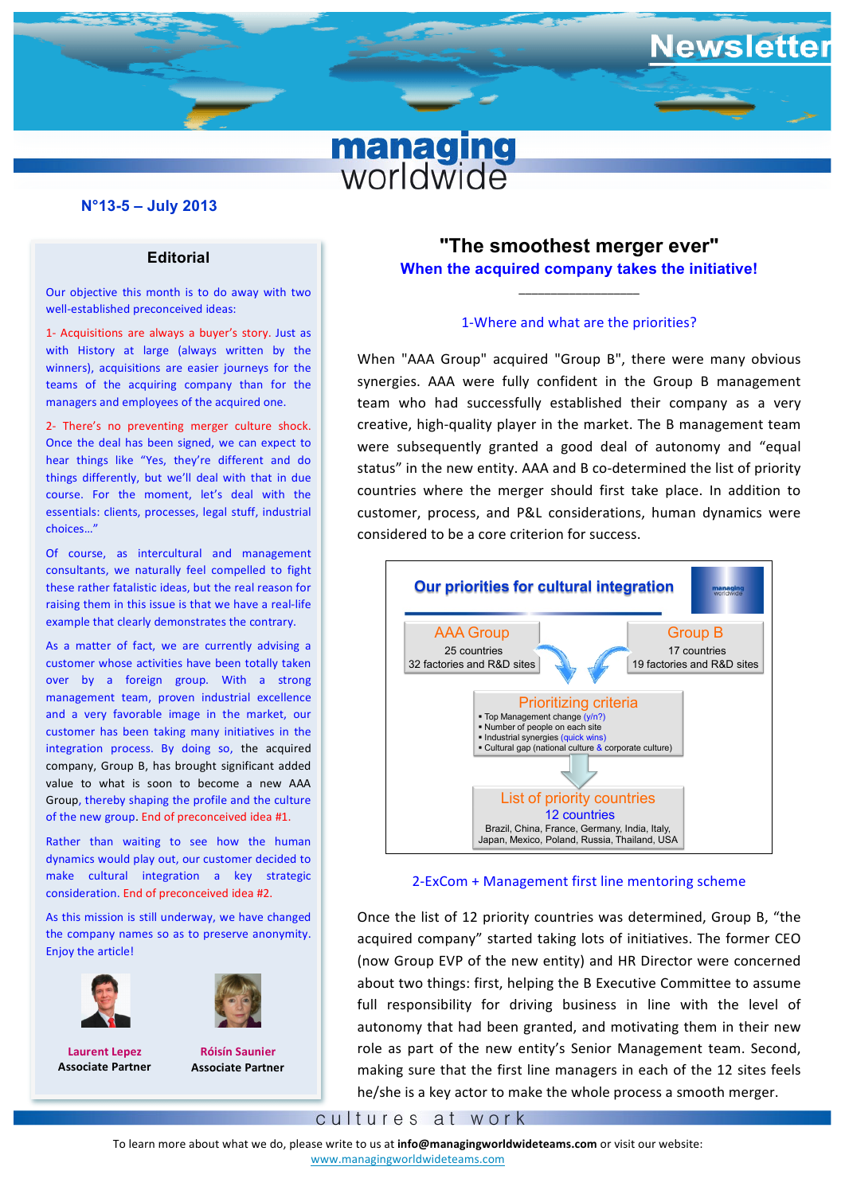

### **N°13-5 – July 2013**

#### **Editorial**

Our objective this month is to do away with two well-established preconceived ideas:

**I** Acquisitions are always a buyer's story. Just as<br>with History at large (always written by the managers and employees of the acquired one.<br>**The act of the acquired** one. 1- Acquisitions are always a buyer's story. Just as winners), acquisitions are easier journeys for the teams of the acquiring company than for the

Once the deal has been signed, we can expect to 2- There's no preventing merger culture shock. hear things like "Yes, they're different and do things differently, but we'll deal with that in due course. For the moment, let's deal with the essentials: clients, processes, legal stuff, industrial choices…"

Of course, as intercultural and management consultants, we naturally feel compelled to fight these rather fatalistic ideas, but the real reason for raising them in this issue is that we have a real-life example that clearly demonstrates the contrary.

As a matter of fact, we are currently advising a customer whose activities have been totally taken over by a foreign group. With a strong management team, proven industrial excellence and a very favorable image in the market, our customer has been taking many initiatives in the integration process. By doing so, the acquired company, Group B, has brought significant added value to what is soon to become a new AAA Group, thereby shaping the profile and the culture of the new group. End of preconceived idea #1.

Rather than waiting to see how the human dynamics would play out, our customer decided to make cultural integration a key strategic consideration. End of preconceived idea #2.

As this mission is still underway, we have changed the company names so as to preserve anonymity. Enjoy the article!





**Laurent Lepez Associate Partner**

**Róisín Saunier Associate Partner**

# **"The smoothest merger ever" When the acquired company takes the initiative!**

ewsletter

#### 1-Where and what are the priorities?

\_\_\_\_\_\_\_\_\_\_\_\_\_\_\_\_\_\_\_

**find the status''** in the new entity. AAA and B co-determined the list of priority rently, but we'll deal with that in due considered to be a core criterion for success. When "AAA Group" acquired "Group B", there were many obvious synergies. AAA were fully confident in the Group B management team who had successfully established their company as a very creative, high-quality player in the market. The B management team were subsequently granted a good deal of autonomy and "equal countries where the merger should first take place. In addition to customer, process, and P&L considerations, human dynamics were



## 2-ExCom + Management first line mentoring scheme

Once the list of 12 priority countries was determined, Group B, "the acquired company" started taking lots of initiatives. The former CEO development company business uning four or interested the former and the concerned about two things: first, helping the B Executive Committee to assume full responsibility for driving business in line with the level of autonomy that had been granted, and motivating them in their new role as part of the new entity's Senior Management team. Second, making sure that the first line managers in each of the 12 sites feels he/she is a key actor to make the whole process a smooth merger.

cultures at work

To learn more about what we do, please write to us at info@managingworldwideteams.com or visit our website: www.managingworldwideteams.com